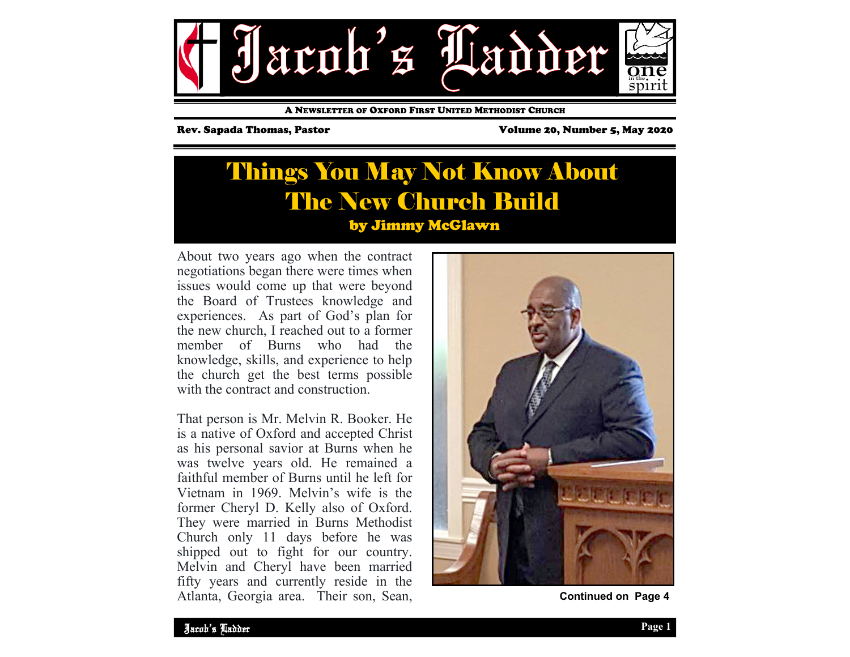

A NEWSLETTER OF OXFORD FIRST UNITED METHODIST CHURCH

Rev. Sapada Thomas, Pastor Volume 20, Number 5, May 2020

## Things You May Not Know About The New Church Build by Jimmy McGlawn

About two years ago when the contract negotiations began there were times when issues would come up that were beyond the Board of Trustees knowledge and experiences. As part of God's plan for the new church, I reached out to a former member of Burns who had the knowledge, skills, and experience to help the church get the best terms possible with the contract and construction.

That person is Mr. Melvin R. Booker. He is a native of Oxford and accepted Christ as his personal savior at Burns when he was twelve years old. He remained a faithful member of Burns until he left for Vietnam in 1969. Melvin's wife is the former Cheryl D. Kelly also of Oxford. They were married in Burns Methodist Church only 11 days before he was shipped out to fight for our country. Melvin and Cheryl have been married fifty years and currently reside in the Atlanta, Georgia area. Their son, Sean,



**Continued on Page 4**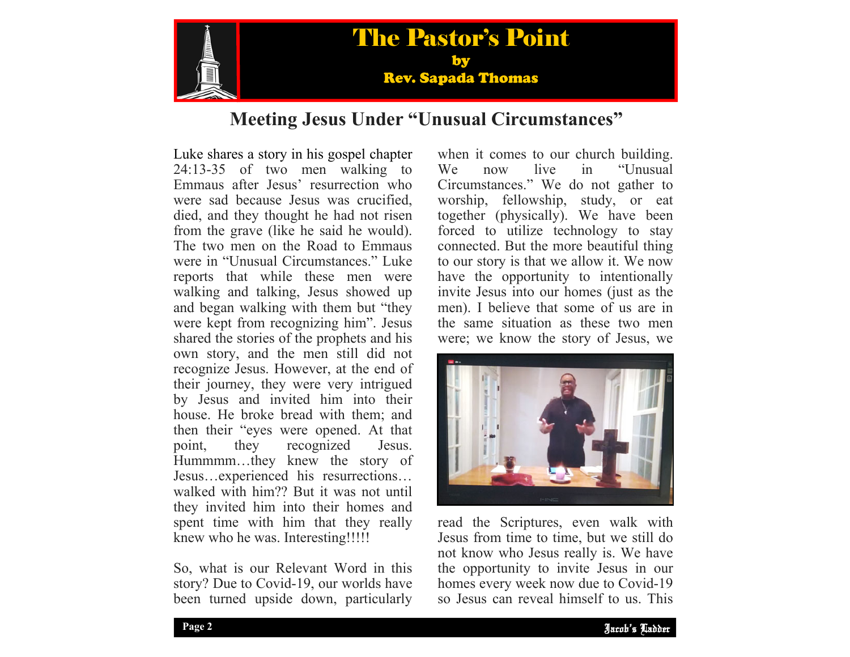

## **Meeting Jesus Under "Unusual Circumstances"**

Luke shares a story in his gospel chapter 24:13-35 of two men walking to Emmaus after Jesus' resurrection who were sad because Jesus was crucified, died, and they thought he had not risen from the grave (like he said he would). The two men on the Road to Emmaus were in "Unusual Circumstances." Luke reports that while these men were walking and talking, Jesus showed up and began walking with them but "they were kept from recognizing him". Jesus shared the stories of the prophets and his own story, and the men still did not recognize Jesus. However, at the end of their journey, they were very intrigued by Jesus and invited him into their house. He broke bread with them; and then their "eyes were opened. At that point, they recognized Jesus. Hummmm…they knew the story of Jesus…experienced his resurrections… walked with him?? But it was not until they invited him into their homes and spent time with him that they really knew who he was. Interesting!!!!!

So, what is our Relevant Word in this story? Due to Covid-19, our worlds have been turned upside down, particularly when it comes to our church building.<br>We now live in "Unusual"  $We now live in$ Circumstances." We do not gather to worship, fellowship, study, or eat together (physically). We have been forced to utilize technology to stay connected. But the more beautiful thing to our story is that we allow it. We now have the opportunity to intentionally invite Jesus into our homes (just as the men). I believe that some of us are in the same situation as these two men were; we know the story of Jesus, we



the opportunity to invite Jesus in our read the Scriptures, even walk with Jesus from time to time, but we still do not know who Jesus really is. We have homes every week now due to Covid-19 so Jesus can reveal himself to us. This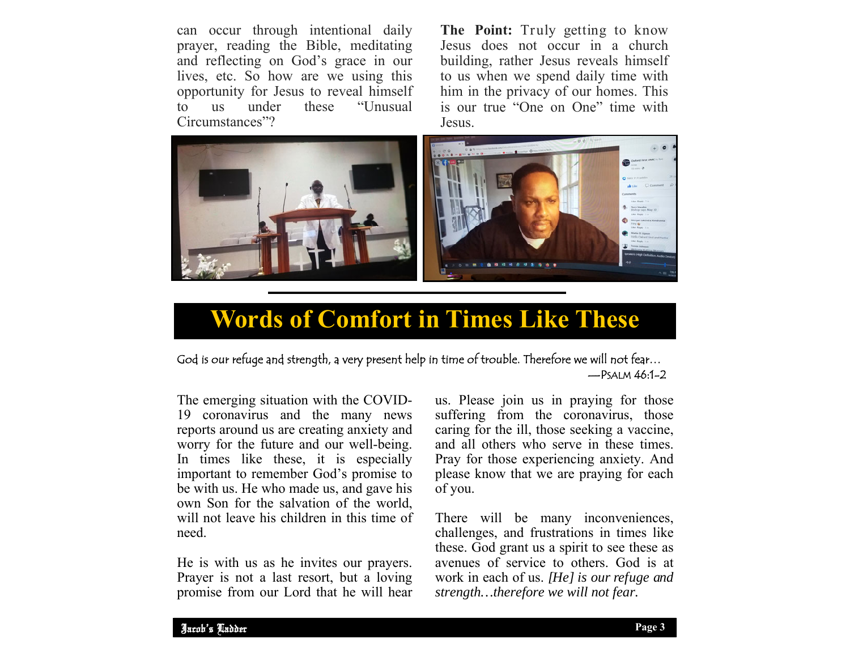can occur through intentional daily prayer, reading the Bible, meditating and reflecting on God's grace in our lives, etc. So how are we using this opportunity for Jesus to reveal himself<br>to us under these "Unusual to us under these "Unusual Circumstances"?

**The Point:** Truly getting to know Jesus does not occur in a church building, rather Jesus reveals himself to us when we spend daily time with him in the privacy of our homes. This is our true "One on One" time with Jesus.



# **Words of Comfort in Times Like These**

### God is our refuge and strength, a very present help in time of trouble. Therefore we will not fear…  $-$ PSALM 46:1-2

The emerging situation with the COVID-19 coronavirus and the many news reports around us are creating anxiety and worry for the future and our well-being. In times like these, it is especially important to remember God's promise to be with us. He who made us, and gave his own Son for the salvation of the world, will not leave his children in this time of need.

He is with us as he invites our prayers. Prayer is not a last resort, but a loving promise from our Lord that he will hear us. Please join us in praying for those suffering from the coronavirus, those caring for the ill, those seeking a vaccine, and all others who serve in these times. Pray for those experiencing anxiety. And please know that we are praying for each of you.

There will be many inconveniences, challenges, and frustrations in times like these. God grant us a spirit to see these as avenues of service to others. God is at work in each of us. *[He] is our refuge and strength…therefore we will not fear.*